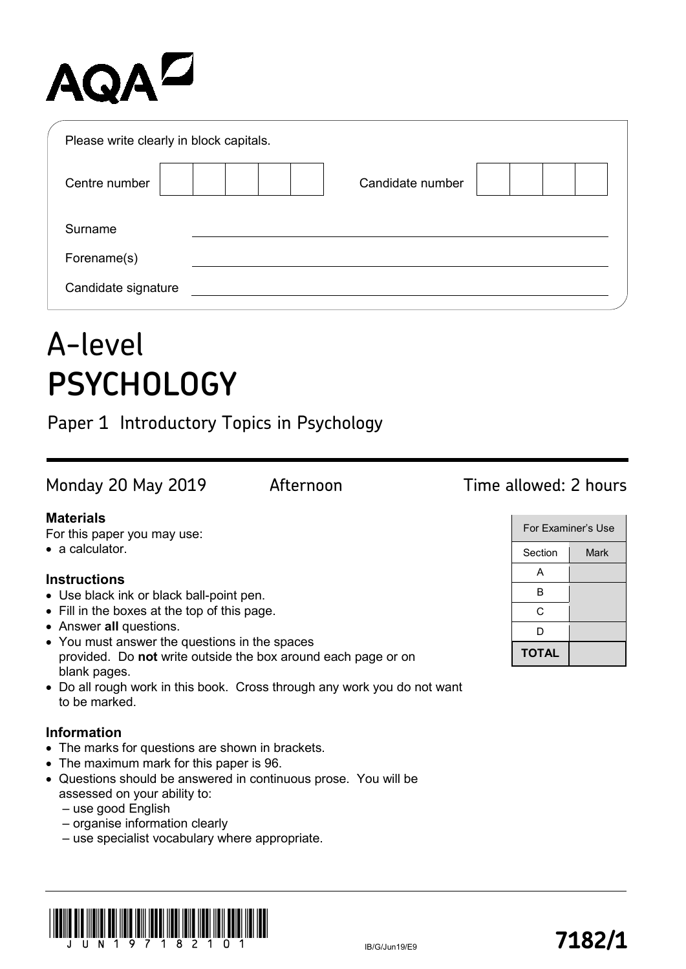# AQAZ

| Please write clearly in block capitals. |                  |  |
|-----------------------------------------|------------------|--|
| Centre number                           | Candidate number |  |
| Surname                                 |                  |  |
| Forename(s)                             |                  |  |
| Candidate signature                     |                  |  |

## A-level **PSYCHOLOGY**

Paper 1 Introductory Topics in Psychology

#### **Materials**

For this paper you may use:

• a calculator.

#### **Instructions**

- Use black ink or black ball-point pen.
- Fill in the boxes at the top of this page.
- Answer **all** questions.
- You must answer the questions in the spaces provided. Do **not** write outside the box around each page or on blank pages.
- Do all rough work in this book. Cross through any work you do not want to be marked.

#### **Information**

- The marks for questions are shown in brackets.
- The maximum mark for this paper is 96.
- Questions should be answered in continuous prose. You will be assessed on your ability to:
	- use good English
	- organise information clearly
	- use specialist vocabulary where appropriate.



| For Examiner's Use |      |
|--------------------|------|
| Section            | Mark |
| А                  |      |
| B                  |      |
| C                  |      |
| D                  |      |
| <b>TOTAL</b>       |      |

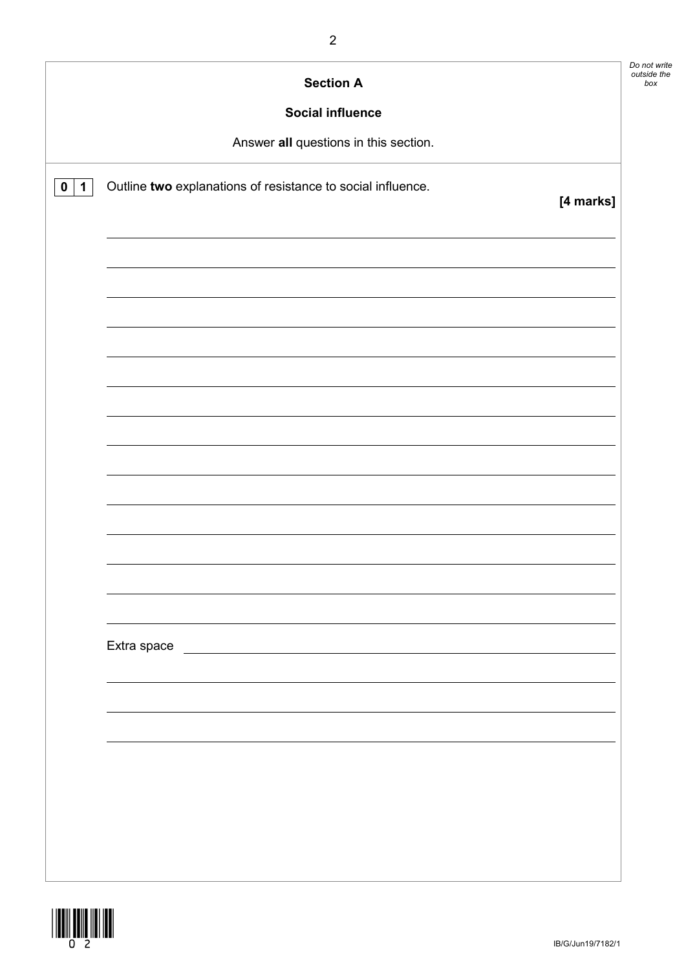| <b>Section A</b>                                                                 |           |
|----------------------------------------------------------------------------------|-----------|
| <b>Social influence</b>                                                          |           |
| Answer all questions in this section.                                            |           |
| Outline two explanations of resistance to social influence.<br>$\mathbf{1}$      | [4 marks] |
|                                                                                  |           |
|                                                                                  |           |
|                                                                                  |           |
|                                                                                  |           |
|                                                                                  |           |
|                                                                                  |           |
|                                                                                  |           |
|                                                                                  |           |
|                                                                                  |           |
|                                                                                  |           |
|                                                                                  |           |
| Extra space<br><u> 1980 - Andrea State Barbara, amerikan personal (h. 1980).</u> |           |
|                                                                                  |           |
|                                                                                  |           |
|                                                                                  |           |
|                                                                                  |           |
|                                                                                  |           |

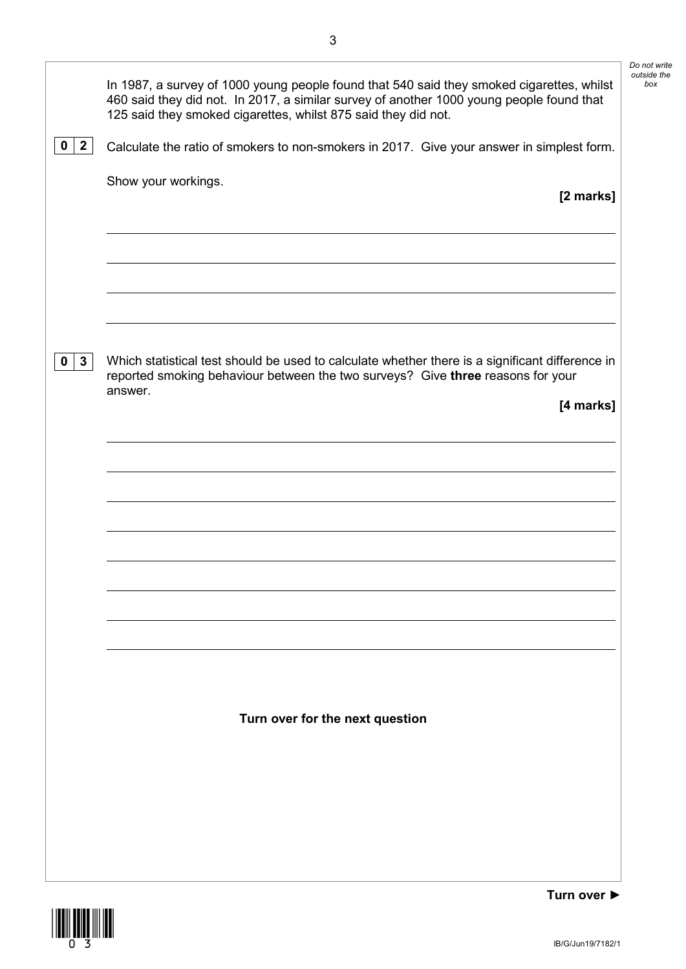| In 1987, a survey of 1000 young people found that 540 said they smoked cigarettes, whilst<br>460 said they did not. In 2017, a similar survey of another 1000 young people found that<br>125 said they smoked cigarettes, whilst 875 said they did not.<br>$\overline{2}$<br>Calculate the ratio of smokers to non-smokers in 2017. Give your answer in simplest form.<br>Show your workings.<br>[2 marks]<br>Which statistical test should be used to calculate whether there is a significant difference in<br>$\mathbf{3}$<br>reported smoking behaviour between the two surveys? Give three reasons for your<br>answer.<br>[4 marks]<br>Turn over for the next question |             | Do not write       |
|-----------------------------------------------------------------------------------------------------------------------------------------------------------------------------------------------------------------------------------------------------------------------------------------------------------------------------------------------------------------------------------------------------------------------------------------------------------------------------------------------------------------------------------------------------------------------------------------------------------------------------------------------------------------------------|-------------|--------------------|
|                                                                                                                                                                                                                                                                                                                                                                                                                                                                                                                                                                                                                                                                             |             | outside the<br>box |
|                                                                                                                                                                                                                                                                                                                                                                                                                                                                                                                                                                                                                                                                             | 0           |                    |
|                                                                                                                                                                                                                                                                                                                                                                                                                                                                                                                                                                                                                                                                             |             |                    |
|                                                                                                                                                                                                                                                                                                                                                                                                                                                                                                                                                                                                                                                                             |             |                    |
|                                                                                                                                                                                                                                                                                                                                                                                                                                                                                                                                                                                                                                                                             | $\mathbf 0$ |                    |
|                                                                                                                                                                                                                                                                                                                                                                                                                                                                                                                                                                                                                                                                             |             |                    |
|                                                                                                                                                                                                                                                                                                                                                                                                                                                                                                                                                                                                                                                                             |             |                    |
|                                                                                                                                                                                                                                                                                                                                                                                                                                                                                                                                                                                                                                                                             |             |                    |
|                                                                                                                                                                                                                                                                                                                                                                                                                                                                                                                                                                                                                                                                             |             |                    |
|                                                                                                                                                                                                                                                                                                                                                                                                                                                                                                                                                                                                                                                                             |             |                    |
|                                                                                                                                                                                                                                                                                                                                                                                                                                                                                                                                                                                                                                                                             |             |                    |
|                                                                                                                                                                                                                                                                                                                                                                                                                                                                                                                                                                                                                                                                             |             |                    |
|                                                                                                                                                                                                                                                                                                                                                                                                                                                                                                                                                                                                                                                                             |             |                    |
|                                                                                                                                                                                                                                                                                                                                                                                                                                                                                                                                                                                                                                                                             |             |                    |
|                                                                                                                                                                                                                                                                                                                                                                                                                                                                                                                                                                                                                                                                             |             |                    |
|                                                                                                                                                                                                                                                                                                                                                                                                                                                                                                                                                                                                                                                                             |             |                    |

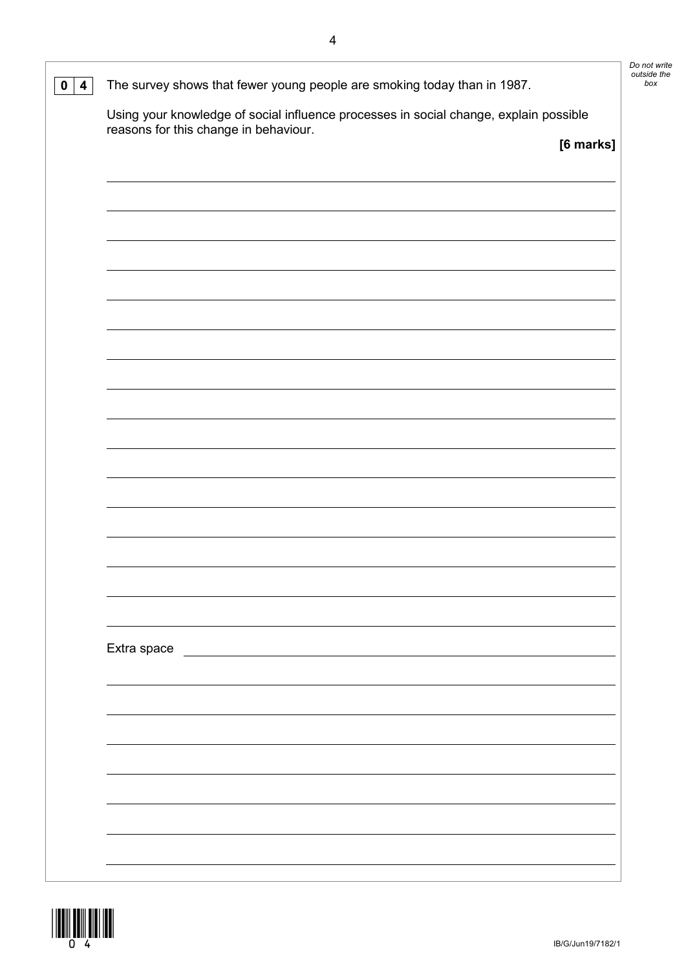| $\overline{\mathbf{4}}$ | The survey shows that fewer young people are smoking today than in 1987.                                                       |
|-------------------------|--------------------------------------------------------------------------------------------------------------------------------|
|                         | Using your knowledge of social influence processes in social change, explain possible<br>reasons for this change in behaviour. |
|                         | [6 marks]                                                                                                                      |
|                         |                                                                                                                                |
|                         |                                                                                                                                |
|                         |                                                                                                                                |
|                         |                                                                                                                                |
|                         |                                                                                                                                |
|                         |                                                                                                                                |
|                         |                                                                                                                                |
|                         |                                                                                                                                |
|                         |                                                                                                                                |
|                         |                                                                                                                                |
|                         |                                                                                                                                |
|                         |                                                                                                                                |
|                         |                                                                                                                                |
|                         |                                                                                                                                |
|                         | Extra space                                                                                                                    |
|                         |                                                                                                                                |
|                         |                                                                                                                                |
|                         |                                                                                                                                |
|                         |                                                                                                                                |
|                         |                                                                                                                                |
|                         |                                                                                                                                |
|                         |                                                                                                                                |

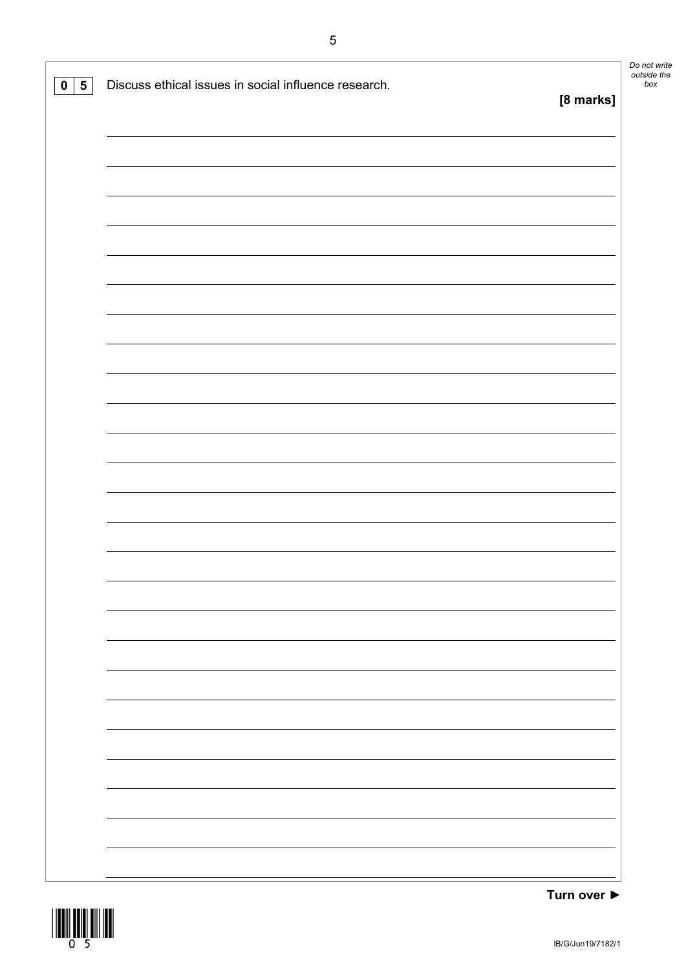| $5\overline{)}$<br>$\mathbf 0$ | Discuss ethical issues in social influence research.<br>[8 marks] | Do not write<br>outside the<br>box |
|--------------------------------|-------------------------------------------------------------------|------------------------------------|
|                                |                                                                   |                                    |
|                                |                                                                   |                                    |
|                                |                                                                   |                                    |
|                                |                                                                   |                                    |
|                                |                                                                   |                                    |
|                                |                                                                   |                                    |
|                                |                                                                   |                                    |
|                                |                                                                   |                                    |
|                                |                                                                   |                                    |
|                                |                                                                   |                                    |
|                                |                                                                   |                                    |
|                                |                                                                   |                                    |
|                                |                                                                   |                                    |

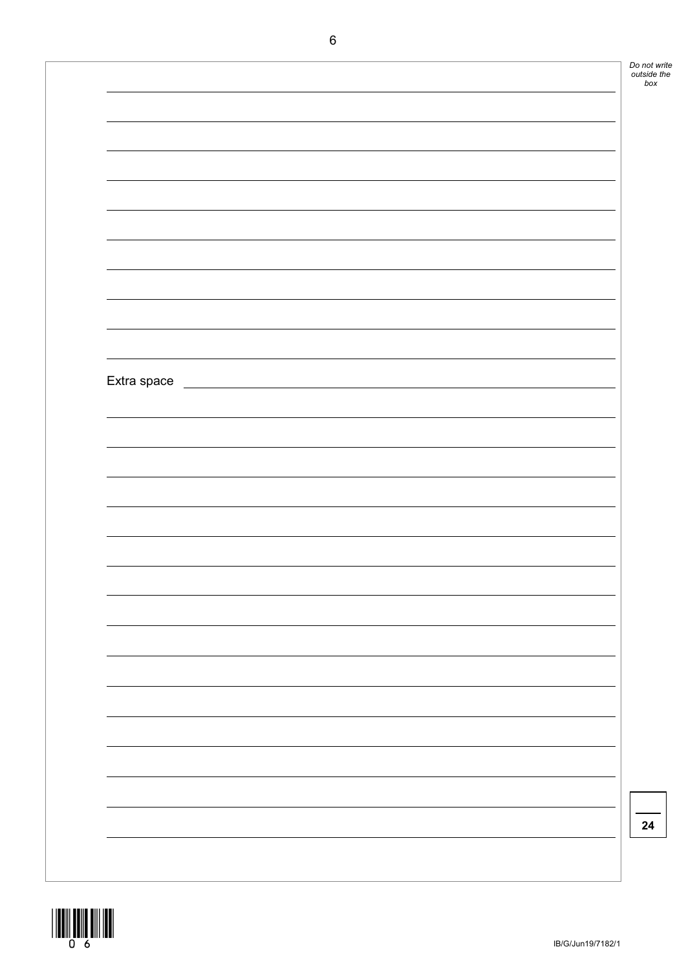*Do not write outside the box*

| Extra space |  |  |  |
|-------------|--|--|--|
|             |  |  |  |
|             |  |  |  |
|             |  |  |  |
|             |  |  |  |
|             |  |  |  |
|             |  |  |  |
|             |  |  |  |
|             |  |  |  |
|             |  |  |  |
|             |  |  |  |
|             |  |  |  |
|             |  |  |  |
|             |  |  |  |
|             |  |  |  |
|             |  |  |  |
|             |  |  |  |
|             |  |  |  |
|             |  |  |  |
|             |  |  |  |
|             |  |  |  |
|             |  |  |  |
|             |  |  |  |
|             |  |  |  |
|             |  |  |  |
|             |  |  |  |
|             |  |  |  |
|             |  |  |  |
|             |  |  |  |
|             |  |  |  |
|             |  |  |  |
|             |  |  |  |
|             |  |  |  |
|             |  |  |  |
|             |  |  |  |
|             |  |  |  |
|             |  |  |  |
|             |  |  |  |
|             |  |  |  |
|             |  |  |  |
|             |  |  |  |
|             |  |  |  |
|             |  |  |  |
|             |  |  |  |
|             |  |  |  |
|             |  |  |  |
|             |  |  |  |
|             |  |  |  |
|             |  |  |  |
|             |  |  |  |
|             |  |  |  |
|             |  |  |  |
|             |  |  |  |
|             |  |  |  |
|             |  |  |  |
|             |  |  |  |
|             |  |  |  |
|             |  |  |  |
|             |  |  |  |
|             |  |  |  |
|             |  |  |  |
|             |  |  |  |
|             |  |  |  |
|             |  |  |  |
|             |  |  |  |
|             |  |  |  |
|             |  |  |  |



**24**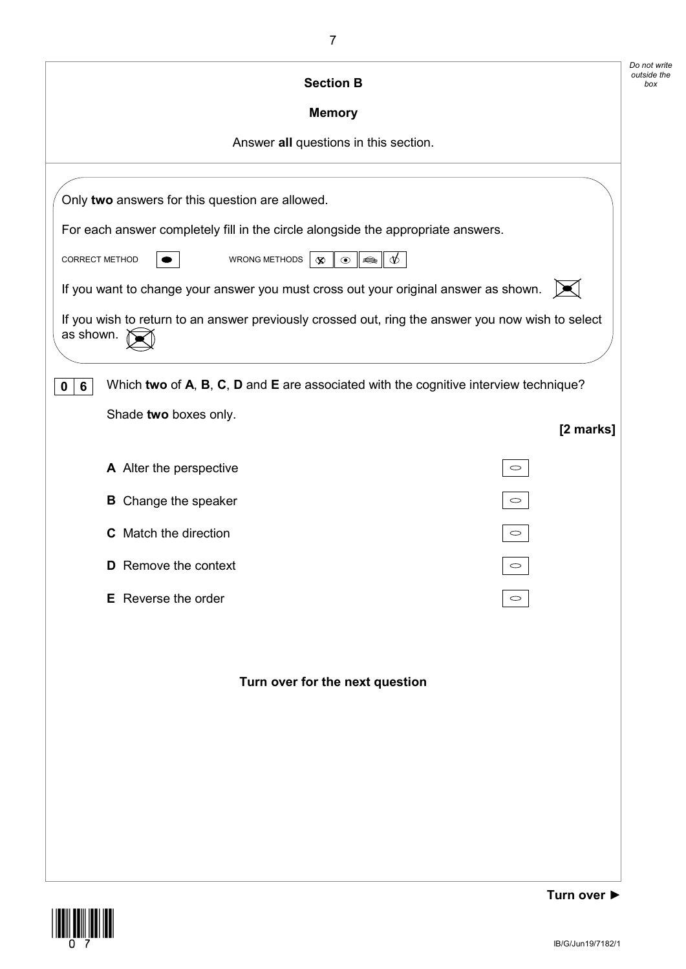| $\overline{7}$                                                                                                 |                                    |
|----------------------------------------------------------------------------------------------------------------|------------------------------------|
| <b>Section B</b>                                                                                               | Do not write<br>outside the<br>box |
| <b>Memory</b>                                                                                                  |                                    |
| Answer all questions in this section.                                                                          |                                    |
|                                                                                                                |                                    |
| Only two answers for this question are allowed.                                                                |                                    |
| For each answer completely fill in the circle alongside the appropriate answers.                               |                                    |
| WRONG METHODS<br>CORRECT METHOD<br>$\infty$<br>$\odot$<br>$\quad \  \  \, \Leftrightarrow$                     |                                    |
| If you want to change your answer you must cross out your original answer as shown. $\mathbb X$                |                                    |
| If you wish to return to an answer previously crossed out, ring the answer you now wish to select<br>as shown. |                                    |
|                                                                                                                |                                    |
| Which two of A, B, C, D and E are associated with the cognitive interview technique?<br>$\mathbf{0}$<br>6      |                                    |
| Shade two boxes only.                                                                                          |                                    |
|                                                                                                                | [2 marks]                          |
| A Alter the perspective                                                                                        | $\circ$                            |
| <b>B</b> Change the speaker                                                                                    | $\circlearrowright$                |
| <b>C</b> Match the direction                                                                                   | $\circ$                            |
| <b>D</b> Remove the context                                                                                    | $\circ$                            |
| <b>E</b> Reverse the order                                                                                     | $\circlearrowright$                |
|                                                                                                                |                                    |
|                                                                                                                |                                    |
| Turn over for the next question                                                                                |                                    |
|                                                                                                                |                                    |
|                                                                                                                |                                    |
|                                                                                                                |                                    |
|                                                                                                                |                                    |
|                                                                                                                |                                    |
|                                                                                                                |                                    |
|                                                                                                                |                                    |



IB/G/Jun19/7182/1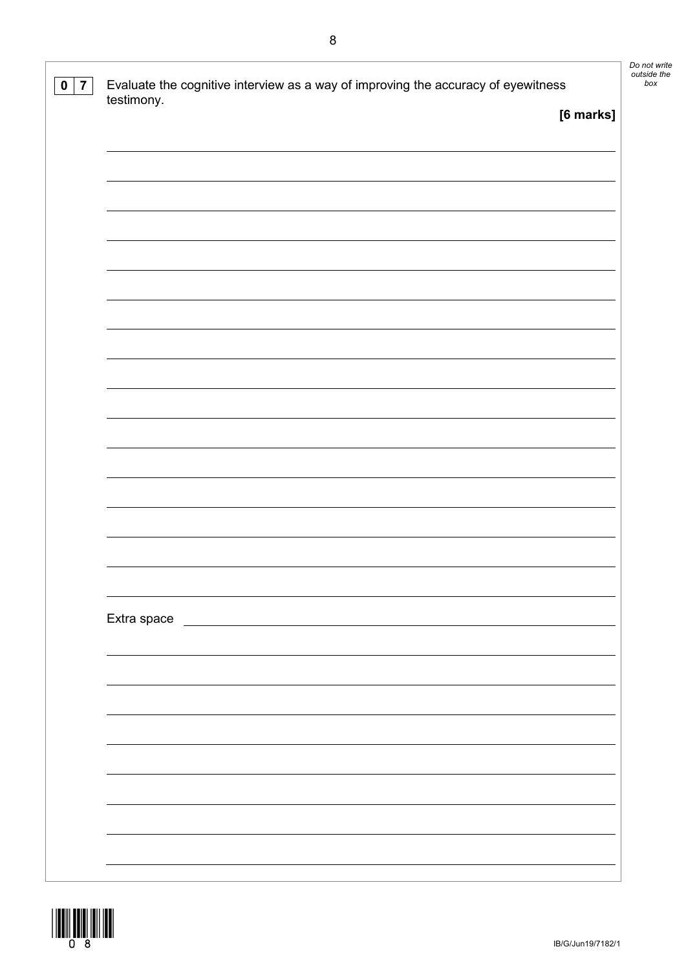| testimony.                                                                                                                                                                                                                          | [6 marks] |
|-------------------------------------------------------------------------------------------------------------------------------------------------------------------------------------------------------------------------------------|-----------|
|                                                                                                                                                                                                                                     |           |
|                                                                                                                                                                                                                                     |           |
|                                                                                                                                                                                                                                     |           |
|                                                                                                                                                                                                                                     |           |
|                                                                                                                                                                                                                                     |           |
|                                                                                                                                                                                                                                     |           |
|                                                                                                                                                                                                                                     |           |
|                                                                                                                                                                                                                                     |           |
|                                                                                                                                                                                                                                     |           |
|                                                                                                                                                                                                                                     |           |
|                                                                                                                                                                                                                                     |           |
|                                                                                                                                                                                                                                     |           |
|                                                                                                                                                                                                                                     |           |
|                                                                                                                                                                                                                                     |           |
|                                                                                                                                                                                                                                     |           |
|                                                                                                                                                                                                                                     |           |
|                                                                                                                                                                                                                                     |           |
|                                                                                                                                                                                                                                     |           |
|                                                                                                                                                                                                                                     |           |
|                                                                                                                                                                                                                                     |           |
|                                                                                                                                                                                                                                     |           |
|                                                                                                                                                                                                                                     |           |
|                                                                                                                                                                                                                                     |           |
|                                                                                                                                                                                                                                     |           |
| Extra space <u>extra space</u> and the set of the set of the set of the set of the set of the set of the set of the set of the set of the set of the set of the set of the set of the set of the set of the set of the set of the s |           |
|                                                                                                                                                                                                                                     |           |
|                                                                                                                                                                                                                                     |           |
|                                                                                                                                                                                                                                     |           |
|                                                                                                                                                                                                                                     |           |
|                                                                                                                                                                                                                                     |           |
|                                                                                                                                                                                                                                     |           |
|                                                                                                                                                                                                                                     |           |
|                                                                                                                                                                                                                                     |           |
|                                                                                                                                                                                                                                     |           |
|                                                                                                                                                                                                                                     |           |

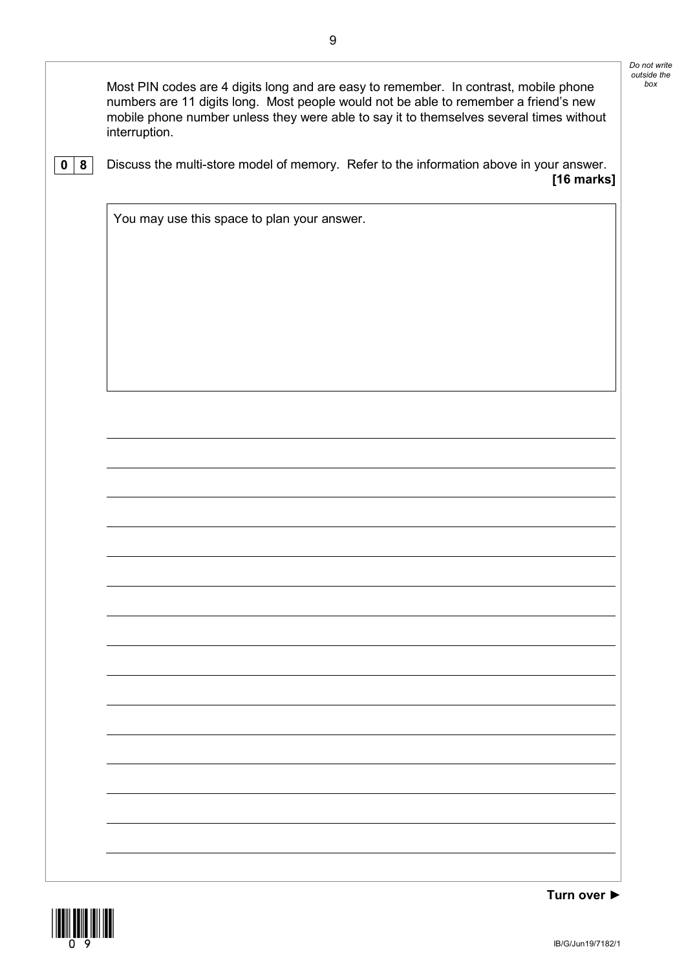*Do not write outside the*  Most PIN codes are 4 digits long and are easy to remember. In contrast, mobile phone numbers are 11 digits long. Most people would not be able to remember a friend's new mobile phone number unless they were able to say it to themselves several times without **0 8** Discuss the multi-store model of memory. Refer to the information above in your answer. **[16 marks]** You may use this space to plan your answer.



**Turn over ►**

interruption.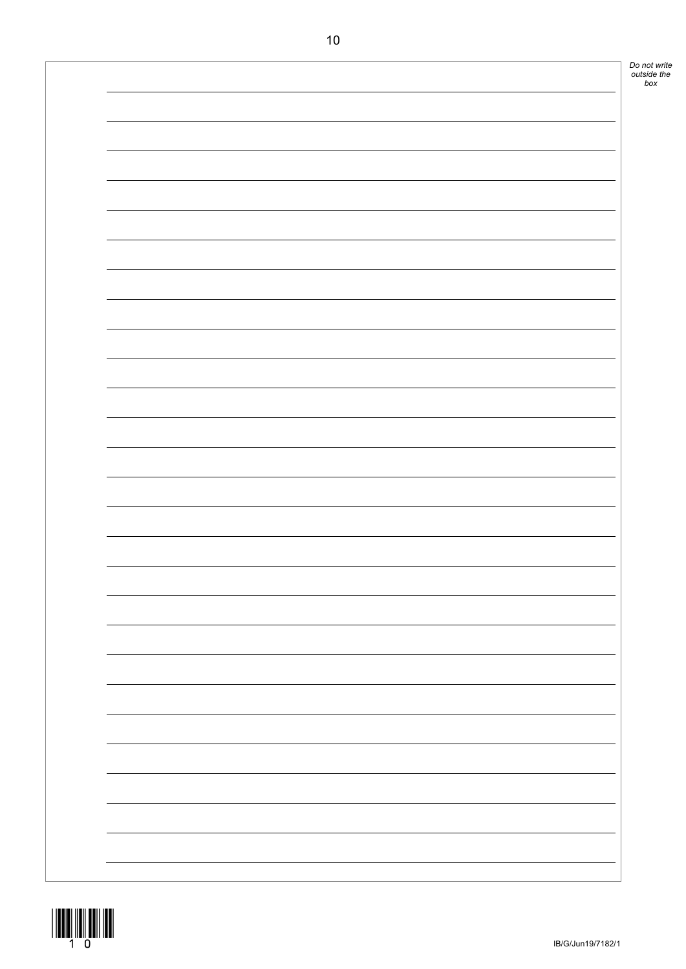

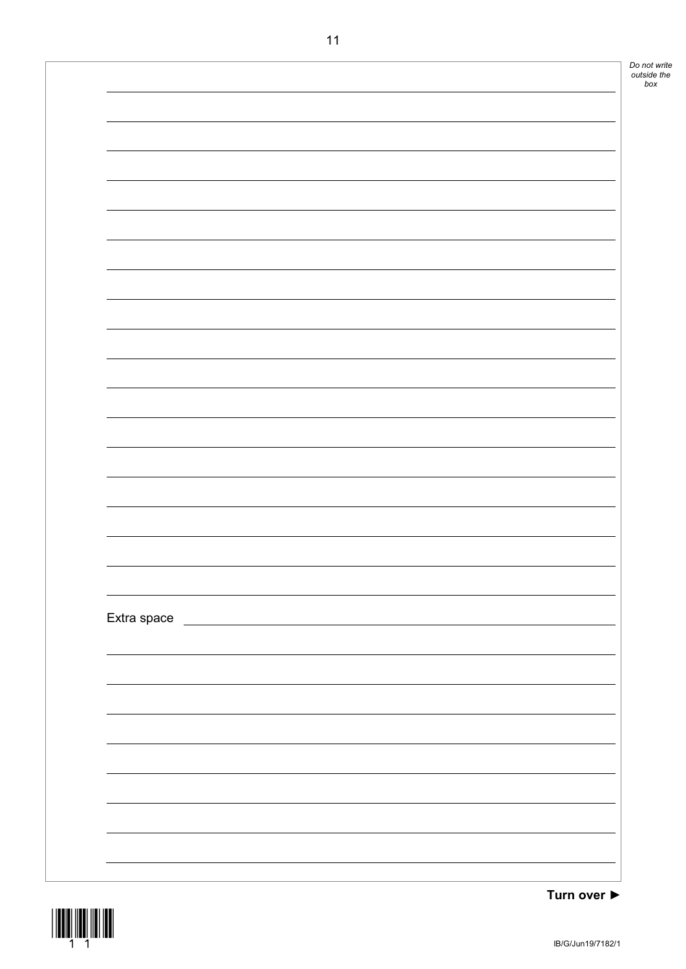| Extra space | <u> 1989 - Johann Stoff, dyrwysodd y cyfeithraf y gynnwys y gynnwys y gynnwys y gynnwys y gynnwys y gynnwys y gy</u> |  |  |
|-------------|----------------------------------------------------------------------------------------------------------------------|--|--|
|             |                                                                                                                      |  |  |
|             |                                                                                                                      |  |  |
|             |                                                                                                                      |  |  |
|             |                                                                                                                      |  |  |
|             |                                                                                                                      |  |  |
|             |                                                                                                                      |  |  |
|             |                                                                                                                      |  |  |
|             |                                                                                                                      |  |  |
|             |                                                                                                                      |  |  |
|             |                                                                                                                      |  |  |
|             |                                                                                                                      |  |  |
|             |                                                                                                                      |  |  |
|             |                                                                                                                      |  |  |
|             |                                                                                                                      |  |  |

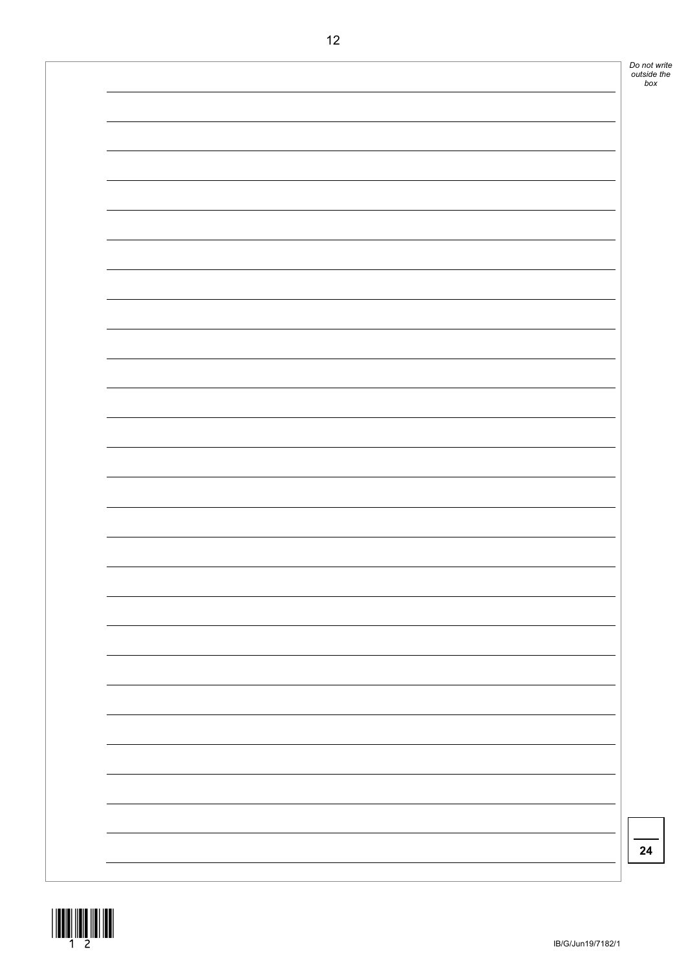

 $\begin{array}{c} \begin{array}{c} \begin{array}{c} \text{1} \end{array} \\ \text{1} \end{array} \end{array}$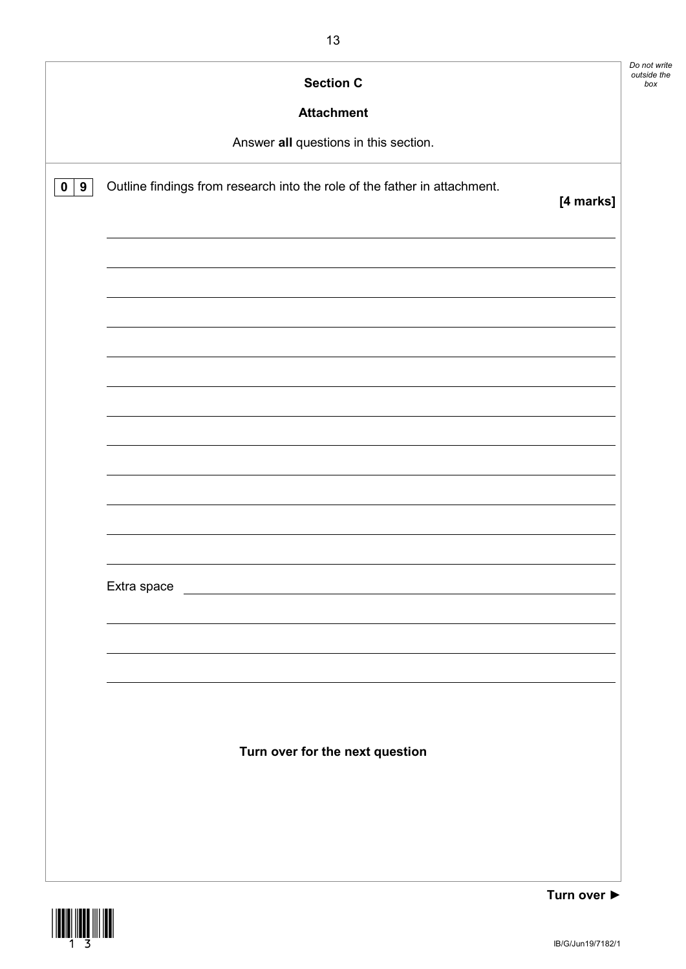|                  | <b>Section C</b>                                                          |           |
|------------------|---------------------------------------------------------------------------|-----------|
|                  | <b>Attachment</b>                                                         |           |
|                  | Answer all questions in this section.                                     |           |
| 9<br>$\mathbf 0$ | Outline findings from research into the role of the father in attachment. | [4 marks] |
|                  |                                                                           |           |
|                  |                                                                           |           |
|                  |                                                                           |           |
|                  |                                                                           |           |
|                  |                                                                           |           |
|                  |                                                                           |           |
|                  |                                                                           |           |
|                  |                                                                           |           |
|                  |                                                                           |           |
|                  |                                                                           |           |
|                  |                                                                           |           |
|                  |                                                                           |           |
|                  |                                                                           |           |
|                  |                                                                           |           |
|                  | Turn over for the next question                                           |           |
|                  |                                                                           |           |
|                  |                                                                           |           |
|                  |                                                                           |           |

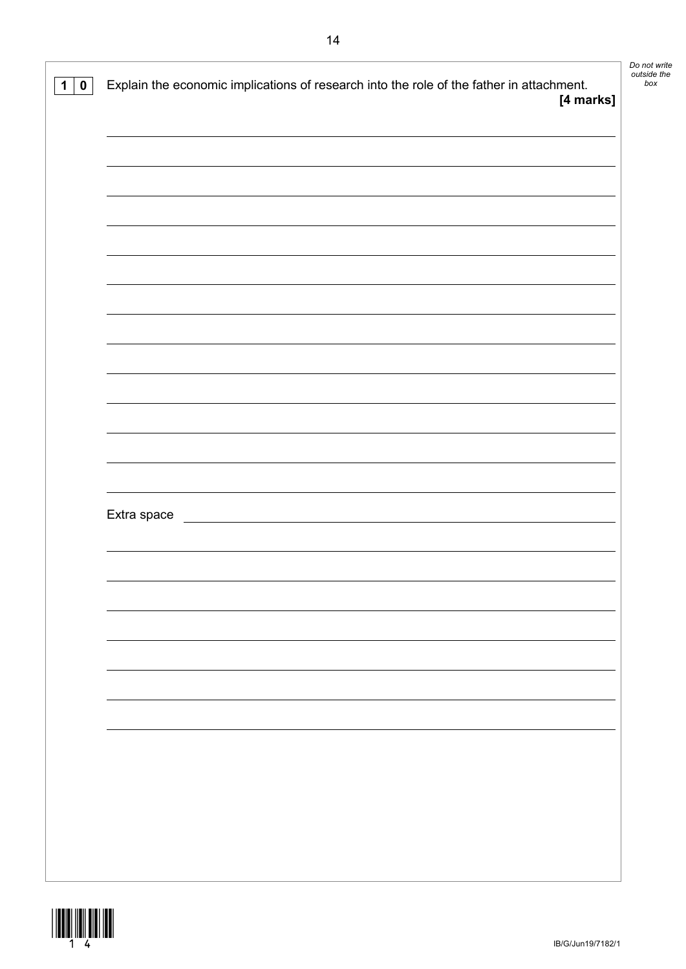| Explain the economic implications of research into the role of the father in attachment.<br>[4 marks] |
|-------------------------------------------------------------------------------------------------------|
|                                                                                                       |
|                                                                                                       |
|                                                                                                       |
|                                                                                                       |
|                                                                                                       |
|                                                                                                       |
|                                                                                                       |
|                                                                                                       |
|                                                                                                       |
| Extra space<br><u> 1980 - Andrea Andrew Maria (h. 1980).</u>                                          |
|                                                                                                       |
|                                                                                                       |
|                                                                                                       |
|                                                                                                       |
|                                                                                                       |
|                                                                                                       |
|                                                                                                       |
|                                                                                                       |
|                                                                                                       |

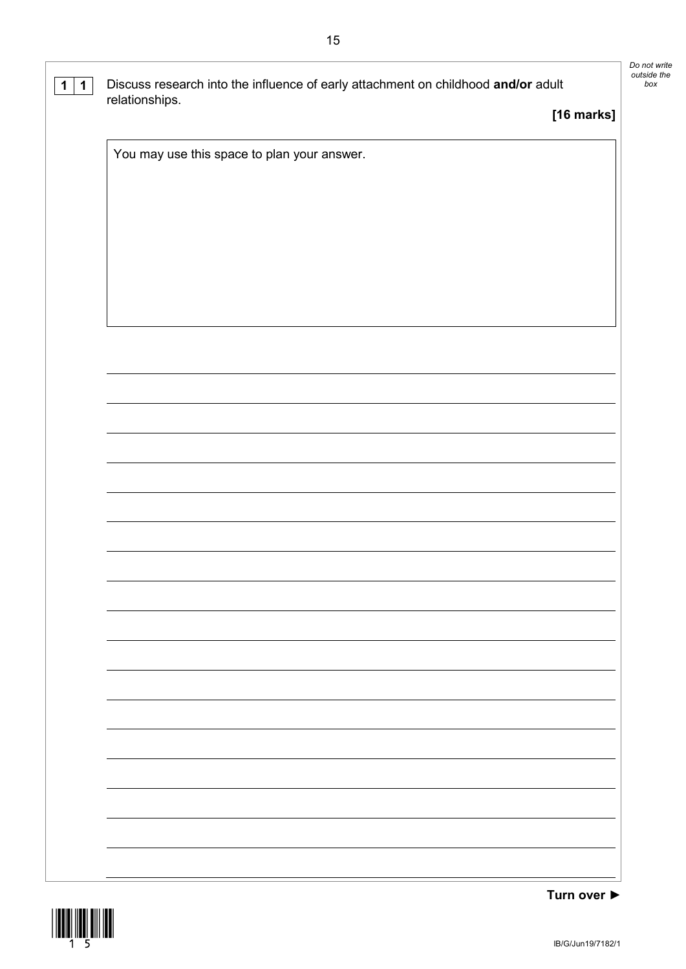| $\mathbf 1$ | Discuss research into the influence of early attachment on childhood and/or adult | Do not write<br>outside the<br>box |
|-------------|-----------------------------------------------------------------------------------|------------------------------------|
|             | relationships.<br>[16 marks]                                                      |                                    |
|             | You may use this space to plan your answer.                                       |                                    |
|             |                                                                                   |                                    |
|             |                                                                                   |                                    |
|             |                                                                                   |                                    |
|             |                                                                                   |                                    |
|             |                                                                                   |                                    |
|             |                                                                                   |                                    |
|             |                                                                                   |                                    |
|             |                                                                                   |                                    |
|             |                                                                                   |                                    |
|             |                                                                                   |                                    |
|             |                                                                                   |                                    |
|             |                                                                                   |                                    |
|             |                                                                                   |                                    |
|             |                                                                                   |                                    |
|             |                                                                                   |                                    |
|             |                                                                                   |                                    |
|             |                                                                                   |                                    |
|             |                                                                                   |                                    |
|             |                                                                                   |                                    |
|             |                                                                                   |                                    |
|             |                                                                                   |                                    |



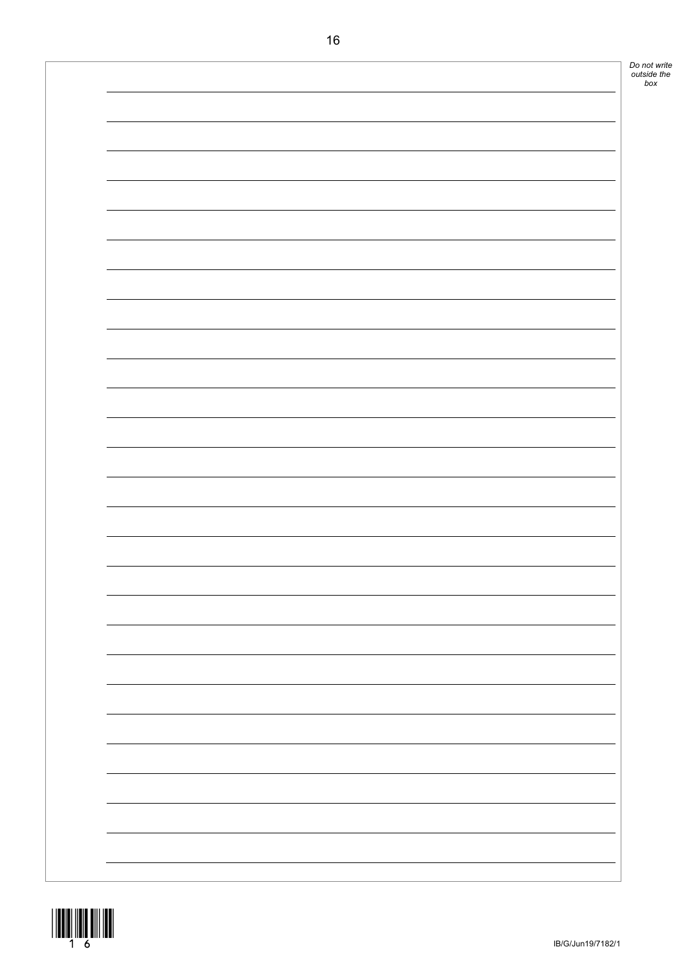

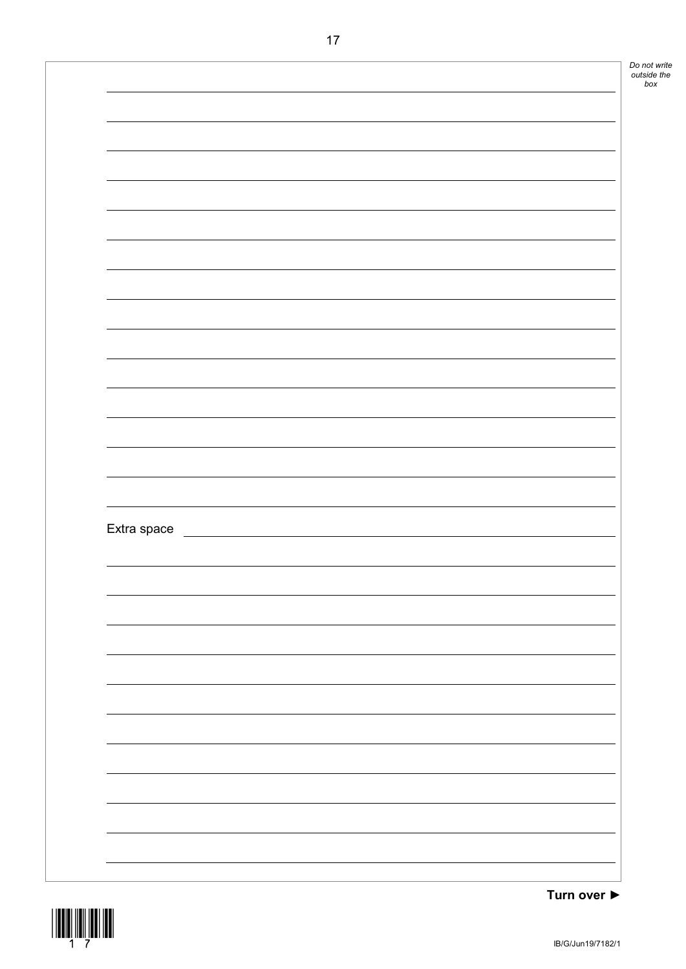| Extra space |  |  |  |
|-------------|--|--|--|

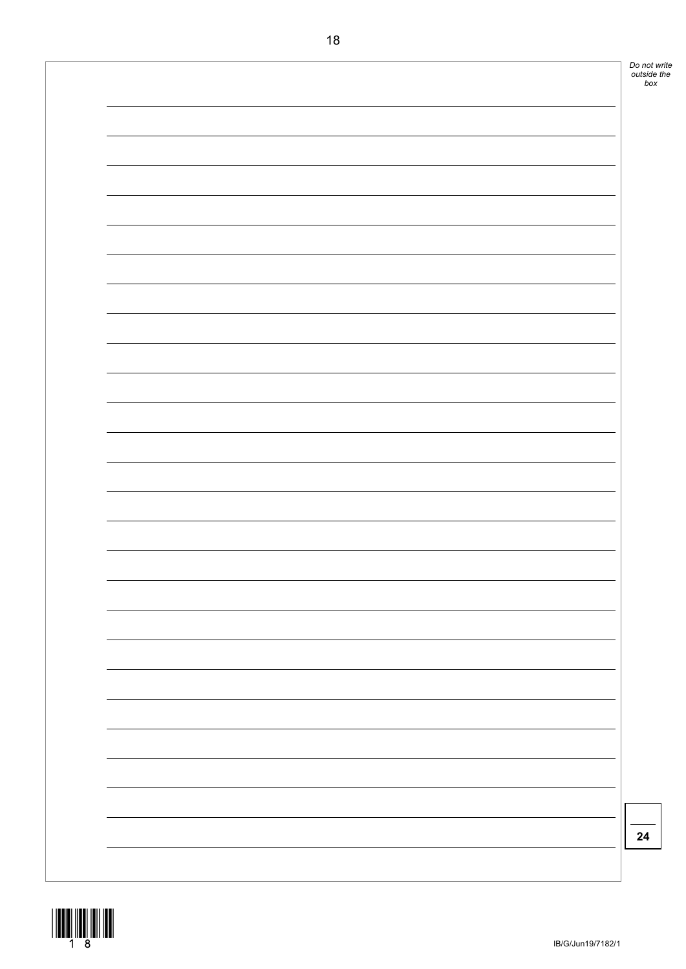

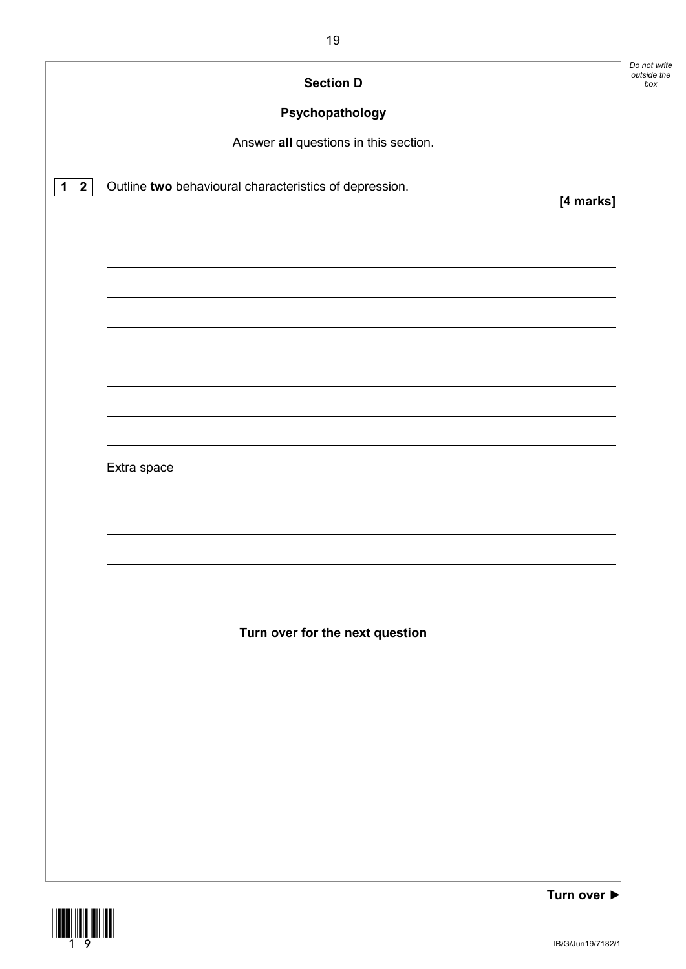|                               | <b>Section D</b>                                                     |           |
|-------------------------------|----------------------------------------------------------------------|-----------|
|                               | Psychopathology                                                      |           |
|                               | Answer all questions in this section.                                |           |
|                               |                                                                      |           |
| $\mathbf 1$<br>$\overline{2}$ | Outline two behavioural characteristics of depression.               | [4 marks] |
|                               |                                                                      |           |
|                               |                                                                      |           |
|                               |                                                                      |           |
|                               |                                                                      |           |
|                               |                                                                      |           |
|                               |                                                                      |           |
|                               | Extra space<br><u> 1980 - Johann Stoff, fransk politik (d. 1980)</u> |           |
|                               |                                                                      |           |
|                               |                                                                      |           |
|                               |                                                                      |           |
|                               |                                                                      |           |
|                               | Turn over for the next question                                      |           |
|                               |                                                                      |           |
|                               |                                                                      |           |
|                               |                                                                      |           |
|                               |                                                                      |           |
|                               |                                                                      |           |
|                               |                                                                      |           |
|                               |                                                                      |           |

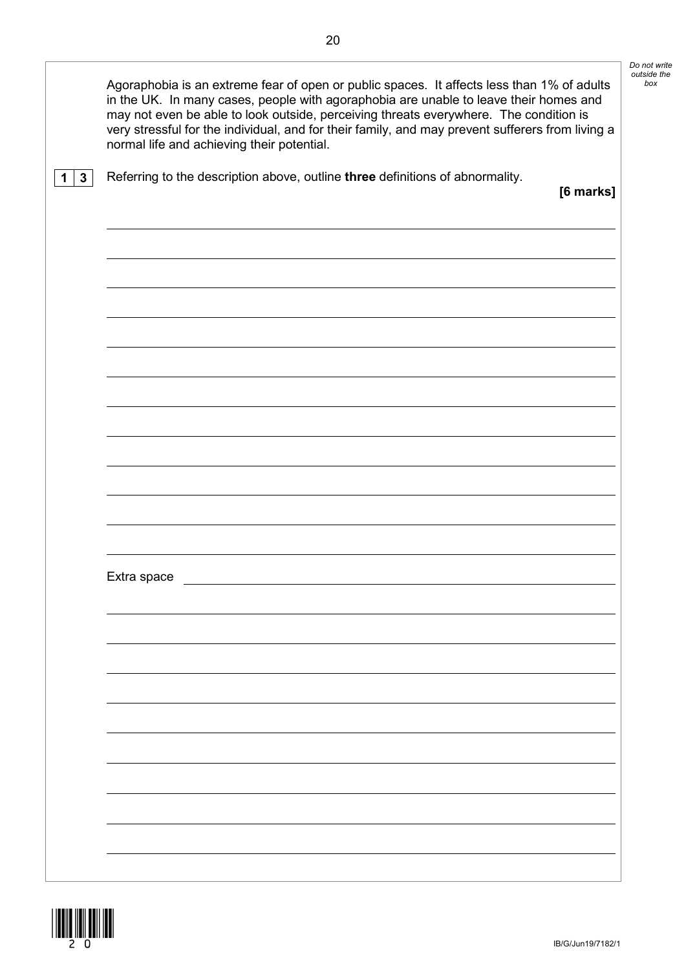|              |                                                                                                                                                                                                                                                                                                                                                                                                                                | Do not write       |
|--------------|--------------------------------------------------------------------------------------------------------------------------------------------------------------------------------------------------------------------------------------------------------------------------------------------------------------------------------------------------------------------------------------------------------------------------------|--------------------|
|              | Agoraphobia is an extreme fear of open or public spaces. It affects less than 1% of adults<br>in the UK. In many cases, people with agoraphobia are unable to leave their homes and<br>may not even be able to look outside, perceiving threats everywhere. The condition is<br>very stressful for the individual, and for their family, and may prevent sufferers from living a<br>normal life and achieving their potential. | outside the<br>box |
| $\mathbf{3}$ | Referring to the description above, outline three definitions of abnormality.<br>[6 marks]                                                                                                                                                                                                                                                                                                                                     |                    |
|              |                                                                                                                                                                                                                                                                                                                                                                                                                                |                    |
|              |                                                                                                                                                                                                                                                                                                                                                                                                                                |                    |
|              |                                                                                                                                                                                                                                                                                                                                                                                                                                |                    |
|              |                                                                                                                                                                                                                                                                                                                                                                                                                                |                    |
|              |                                                                                                                                                                                                                                                                                                                                                                                                                                |                    |
|              |                                                                                                                                                                                                                                                                                                                                                                                                                                |                    |
|              |                                                                                                                                                                                                                                                                                                                                                                                                                                |                    |
|              |                                                                                                                                                                                                                                                                                                                                                                                                                                |                    |
|              | Extra space                                                                                                                                                                                                                                                                                                                                                                                                                    |                    |
|              |                                                                                                                                                                                                                                                                                                                                                                                                                                |                    |
|              |                                                                                                                                                                                                                                                                                                                                                                                                                                |                    |
|              |                                                                                                                                                                                                                                                                                                                                                                                                                                |                    |
|              |                                                                                                                                                                                                                                                                                                                                                                                                                                |                    |
|              |                                                                                                                                                                                                                                                                                                                                                                                                                                |                    |
|              |                                                                                                                                                                                                                                                                                                                                                                                                                                |                    |
|              |                                                                                                                                                                                                                                                                                                                                                                                                                                |                    |
|              |                                                                                                                                                                                                                                                                                                                                                                                                                                |                    |

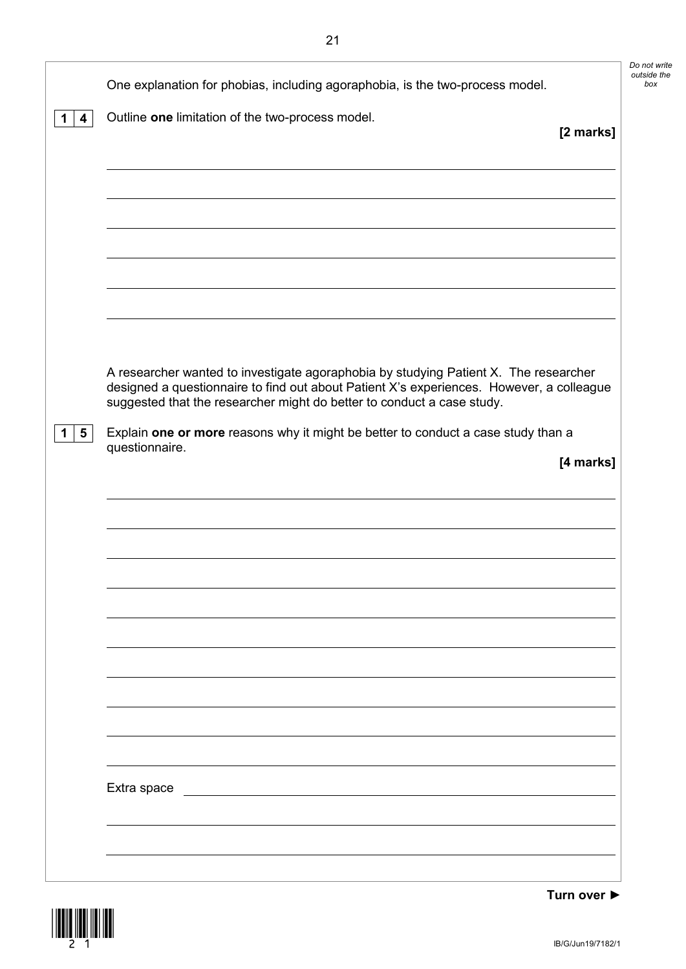|                         | One explanation for phobias, including agoraphobia, is the two-process model.                                                                                                                                                                              |
|-------------------------|------------------------------------------------------------------------------------------------------------------------------------------------------------------------------------------------------------------------------------------------------------|
| $\overline{\mathbf{4}}$ | Outline one limitation of the two-process model.<br>[2 marks]                                                                                                                                                                                              |
|                         |                                                                                                                                                                                                                                                            |
|                         |                                                                                                                                                                                                                                                            |
|                         |                                                                                                                                                                                                                                                            |
|                         |                                                                                                                                                                                                                                                            |
|                         |                                                                                                                                                                                                                                                            |
|                         |                                                                                                                                                                                                                                                            |
|                         |                                                                                                                                                                                                                                                            |
|                         | A researcher wanted to investigate agoraphobia by studying Patient X. The researcher<br>designed a questionnaire to find out about Patient X's experiences. However, a colleague<br>suggested that the researcher might do better to conduct a case study. |
| $5\overline{)}$         | Explain one or more reasons why it might be better to conduct a case study than a                                                                                                                                                                          |
|                         | questionnaire.<br>[4 marks]                                                                                                                                                                                                                                |
|                         |                                                                                                                                                                                                                                                            |
|                         |                                                                                                                                                                                                                                                            |
|                         |                                                                                                                                                                                                                                                            |
|                         |                                                                                                                                                                                                                                                            |
|                         |                                                                                                                                                                                                                                                            |
|                         |                                                                                                                                                                                                                                                            |
|                         |                                                                                                                                                                                                                                                            |
|                         |                                                                                                                                                                                                                                                            |
|                         |                                                                                                                                                                                                                                                            |
|                         |                                                                                                                                                                                                                                                            |
|                         | Extra space                                                                                                                                                                                                                                                |
|                         |                                                                                                                                                                                                                                                            |
|                         |                                                                                                                                                                                                                                                            |

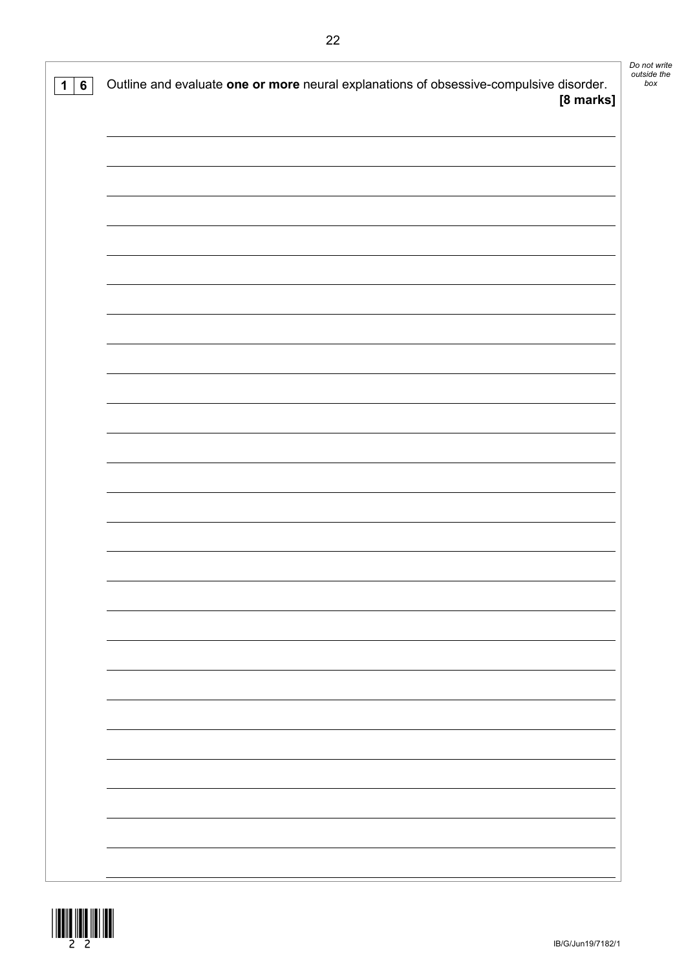| $6\phantom{a}$<br>$\mathbf 1$ | Outline and evaluate one or more neural explanations of obsessive-compulsive disorder.<br>[8 marks] | Do not write<br>outside the<br>box |
|-------------------------------|-----------------------------------------------------------------------------------------------------|------------------------------------|
|                               |                                                                                                     |                                    |
|                               |                                                                                                     |                                    |
|                               |                                                                                                     |                                    |
|                               |                                                                                                     |                                    |
|                               |                                                                                                     |                                    |
|                               |                                                                                                     |                                    |
|                               |                                                                                                     |                                    |
|                               |                                                                                                     |                                    |
|                               |                                                                                                     |                                    |
|                               |                                                                                                     |                                    |
|                               |                                                                                                     |                                    |
|                               |                                                                                                     |                                    |
|                               |                                                                                                     |                                    |
|                               |                                                                                                     |                                    |
|                               |                                                                                                     |                                    |
|                               |                                                                                                     |                                    |

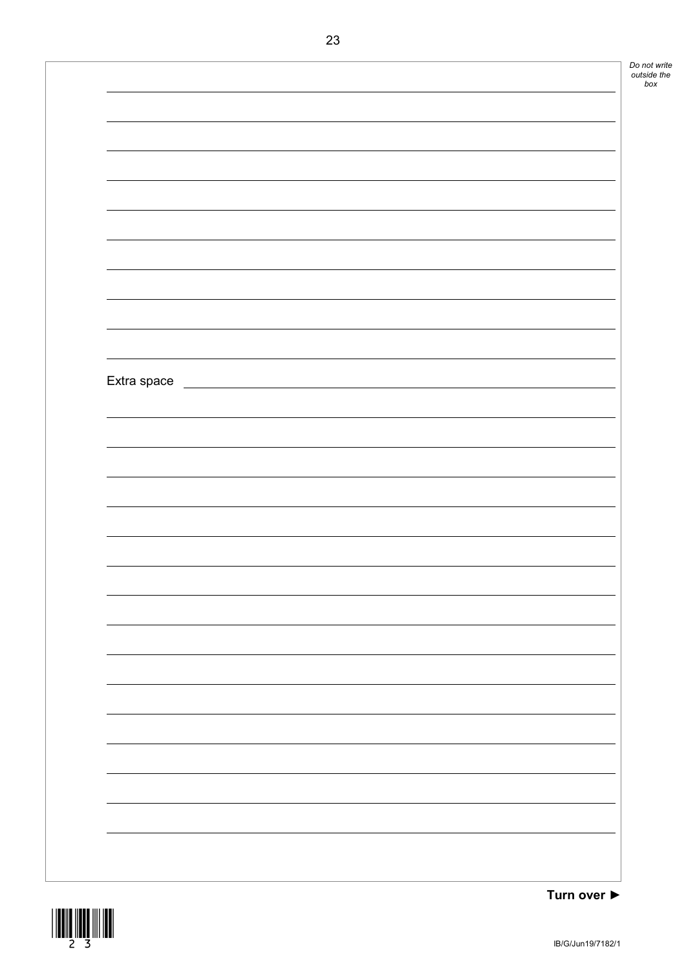*Do not write outside the box*

| Extra space |  |  |
|-------------|--|--|
|             |  |  |
|             |  |  |
|             |  |  |
|             |  |  |
|             |  |  |
|             |  |  |
|             |  |  |
|             |  |  |
|             |  |  |
|             |  |  |
|             |  |  |
|             |  |  |
|             |  |  |
|             |  |  |
|             |  |  |
|             |  |  |
|             |  |  |
|             |  |  |
|             |  |  |
|             |  |  |
|             |  |  |
|             |  |  |
|             |  |  |
|             |  |  |
|             |  |  |
|             |  |  |
|             |  |  |
|             |  |  |
|             |  |  |
|             |  |  |
|             |  |  |
|             |  |  |